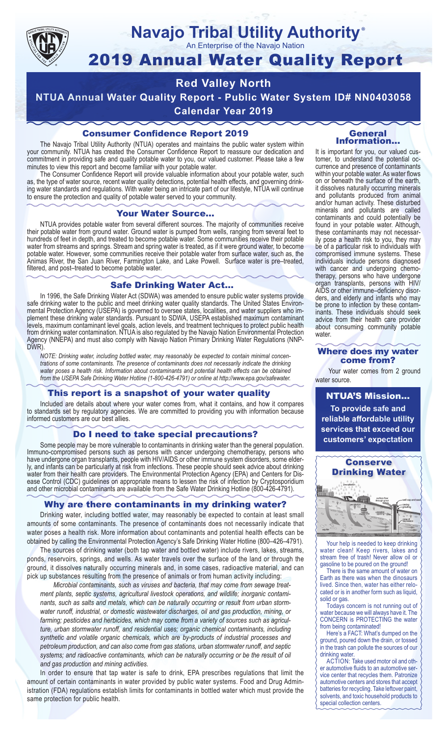

#### **Navajo Tribal Utility Authority** ®

An Enterprise of the Navajo Nation

# 2019 Annual Water Quality Report

## **Red Valley North**

**NTUA Annual Water Quality Report - Public Water System ID# NN0403058**

**Calendar Year 2019**

### Consumer Confidence Report 2019

The Navajo Tribal Utility Authority (NTUA) operates and maintains the public water system within your community. NTUA has created the Consumer Confidence Report to reassure our dedication and commitment in providing safe and quality potable water to you, our valued customer. Please take a few minutes to view this report and become familiar with your potable water.

The Consumer Confidence Report will provide valuable information about your potable water, such as, the type of water source, recent water quality detections, potential health effects, and governing drinking water standards and regulations. With water being an intricate part of our lifestyle, NTUA will continue to ensure the protection and quality of potable water served to your community.

#### Your Water Source…

NTUA provides potable water from several different sources. The majority of communities receive their potable water from ground water. Ground water is pumped from wells, ranging from several feet to hundreds of feet in depth, and treated to become potable water. Some communities receive their potable water from streams and springs. Stream and spring water is treated, as if it were ground water, to become potable water. However, some communities receive their potable water from surface water, such as, the Animas River, the San Juan River, Farmington Lake, and Lake Powell. Surface water is pre–treated, filtered, and post–treated to become potable water.

#### Safe Drinking Water Act…

In 1996, the Safe Drinking Water Act (SDWA) was amended to ensure public water systems provide safe drinking water to the public and meet drinking water quality standards. The United States Environmental Protection Agency (USEPA) is governed to oversee states, localities, and water suppliers who implement these drinking water standards. Pursuant to SDWA, USEPA established maximum contaminant levels, maximum contaminant level goals, action levels, and treatment techniques to protect public health from drinking water contamination. NTUA is also regulated by the Navajo Nation Environmental Protection Agency (NNEPA) and must also comply with Navajo Nation Primary Drinking Water Regulations (NNP-DWR)

*NOTE: Drinking water, including bottled water, may reasonably be expected to contain minimal concentrations of some contaminants. The presence of contaminants does not necessarily indicate the drinking water poses a health risk. Information about contaminants and potential health effects can be obtained from the USEPA Safe Drinking Water Hotline (1-800-426-4791) or online at http://www.epa.gov/safewater.*

#### This report is a snapshot of your water quality

Included are details about where your water comes from, what it contains, and how it compares to standards set by regulatory agencies. We are committed to providing you with information because informed customers are our best allies.

#### Do I need to take special precautions?

Some people may be more vulnerable to contaminants in drinking water than the general population. Immuno-compromised persons such as persons with cancer undergoing chemotherapy, persons who have undergone organ transplants, people with HIV/AIDS or other immune system disorders, some elderly, and infants can be particularly at risk from infections. These people should seek advice about drinking water from their health care providers. The Environmental Protection Agency (EPA) and Centers for Disease Control (CDC) guidelines on appropriate means to lessen the risk of infection by Cryptosporidium and other microbial contaminants are available from the Safe Water Drinking Hotline (800-426-4791).

#### Why are there contaminants in my drinking water?

Drinking water, including bottled water, may reasonably be expected to contain at least small amounts of some contaminants. The presence of contaminants does not necessarily indicate that water poses a health risk. More information about contaminants and potential health effects can be obtained by calling the Environmental Protection Agency's Safe Drinking Water Hotline (800–426–4791).

The sources of drinking water (both tap water and bottled water) include rivers, lakes, streams, ponds, reservoirs, springs, and wells. As water travels over the surface of the land or through the ground, it dissolves naturally occurring minerals and, in some cases, radioactive material, and can pick up substances resulting from the presence of animals or from human activity including:

*Microbial contaminants, such as viruses and bacteria, that may come from sewage treatment plants, septic systems, agricultural livestock operations, and wildlife; inorganic contaminants, such as salts and metals, which can be naturally occurring or result from urban stormwater runoff, industrial, or domestic wastewater discharges, oil and gas production, mining, or farming; pesticides and herbicides, which may come from a variety of sources such as agriculture, urban stormwater runoff, and residential uses; organic chemical contaminants, including synthetic and volatile organic chemicals, which are by-products of industrial processes and petroleum production, and can also come from gas stations, urban stormwater runoff, and septic systems; and radioactive contaminants, which can be naturally occurring or be the result of oil and gas production and mining activities.*

In order to ensure that tap water is safe to drink, EPA prescribes regulations that limit the amount of certain contaminants in water provided by public water systems. Food and Drug Administration (FDA) regulations establish limits for contaminants in bottled water which must provide the same protection for public health.

#### General Information…

It is important for you, our valued customer, to understand the potential occurrence and presence of contaminants within your potable water. As water flows on or beneath the surface of the earth, it dissolves naturally occurring minerals and pollutants produced from animal and/or human activity. These disturbed minerals and pollutants are called contaminants and could potentially be found in your potable water. Although, these contaminants may not necessarily pose a health risk to you, they may be of a particular risk to individuals with compromised immune systems. These individuals include persons diagnosed with cancer and undergoing chemo-<br>therapy, persons who have undergone organ transplants, persons with HIV/ AIDS or other immune–deficiency disor- ders, and elderly and infants who may be prone to infection by these contam- inants. These individuals should seek advice from their health care provider about consuming community potable water.

#### Where does my water come from?

Your water comes from 2 ground water source.

NTUA'S Mission... **To provide safe and reliable affordable utility services that exceed our customers' expectation**



Your help is needed to keep drinking water clean! Keep rivers, lakes and stream free of trash! Never allow oil or gasoline to be poured on the ground!

There is the same amount of water on Earth as there was when the dinosaurs lived. Since then, water has either relocated or is in another form such as liquid, solid or gas.

Todays concern is not running out of water because we will always have it. The CONCERN is PROTECTING the water from being contaminated!

Here's a FACT: What's dumped on the ground, poured down the drain, or tossed in the trash can pollute the sources of our drinking water.

ACTION: Take used motor oil and other automotive fluids to an automotive service center that recycles them. Patronize automotive centers and stores that accept batteries for recycling. Take leftover paint, solvents, and toxic household products to special collection centers.